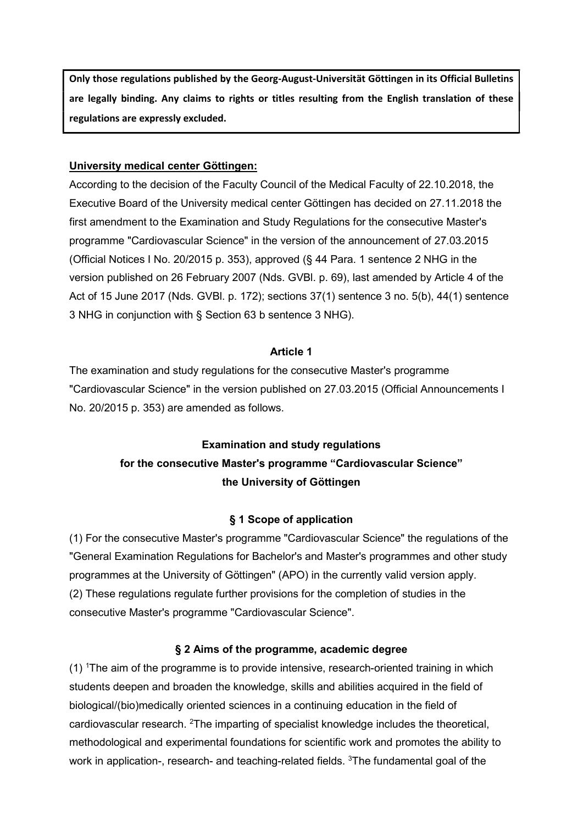Only those regulations published by the Georg-August-Universität Göttingen in its Official Bulletins are legally binding. Any claims to rights or titles resulting from the English translation of these regulations are expressly excluded.

### University medical center Göttingen:

According to the decision of the Faculty Council of the Medical Faculty of 22.10.2018, the Executive Board of the University medical center Göttingen has decided on 27.11.2018 the first amendment to the Examination and Study Regulations for the consecutive Master's programme "Cardiovascular Science" in the version of the announcement of 27.03.2015 (Official Notices I No. 20/2015 p. 353), approved (§ 44 Para. 1 sentence 2 NHG in the version published on 26 February 2007 (Nds. GVBl. p. 69), last amended by Article 4 of the Act of 15 June 2017 (Nds. GVBl. p. 172); sections 37(1) sentence 3 no. 5(b), 44(1) sentence 3 NHG in conjunction with § Section 63 b sentence 3 NHG).

#### Article 1

The examination and study regulations for the consecutive Master's programme "Cardiovascular Science" in the version published on 27.03.2015 (Official Announcements I No. 20/2015 p. 353) are amended as follows.

# Examination and study regulations for the consecutive Master's programme "Cardiovascular Science" the University of Göttingen

#### § 1 Scope of application

(1) For the consecutive Master's programme "Cardiovascular Science" the regulations of the "General Examination Regulations for Bachelor's and Master's programmes and other study programmes at the University of Göttingen" (APO) in the currently valid version apply. (2) These regulations regulate further provisions for the completion of studies in the consecutive Master's programme "Cardiovascular Science".

#### § 2 Aims of the programme, academic degree

(1) <sup>1</sup>The aim of the programme is to provide intensive, research-oriented training in which students deepen and broaden the knowledge, skills and abilities acquired in the field of biological/(bio)medically oriented sciences in a continuing education in the field of cardiovascular research. <sup>2</sup>The imparting of specialist knowledge includes the theoretical, methodological and experimental foundations for scientific work and promotes the ability to work in application-, research- and teaching-related fields. <sup>3</sup>The fundamental goal of the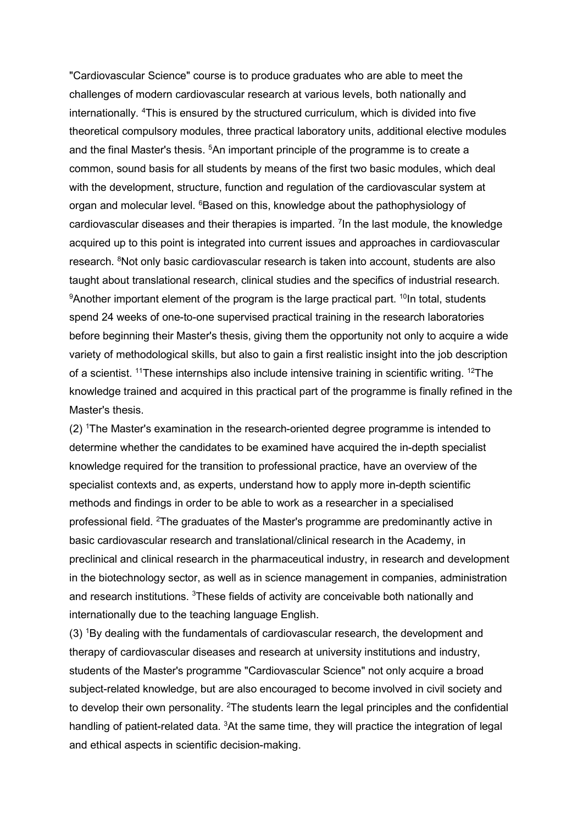"Cardiovascular Science" course is to produce graduates who are able to meet the challenges of modern cardiovascular research at various levels, both nationally and internationally. <sup>4</sup>This is ensured by the structured curriculum, which is divided into five theoretical compulsory modules, three practical laboratory units, additional elective modules and the final Master's thesis.  $5$ An important principle of the programme is to create a common, sound basis for all students by means of the first two basic modules, which deal with the development, structure, function and regulation of the cardiovascular system at organ and molecular level. <sup>6</sup>Based on this, knowledge about the pathophysiology of cardiovascular diseases and their therapies is imparted. <sup>7</sup> In the last module, the knowledge acquired up to this point is integrated into current issues and approaches in cardiovascular research. <sup>8</sup>Not only basic cardiovascular research is taken into account, students are also taught about translational research, clinical studies and the specifics of industrial research.  $9$ Another important element of the program is the large practical part.  $10$ In total, students spend 24 weeks of one-to-one supervised practical training in the research laboratories before beginning their Master's thesis, giving them the opportunity not only to acquire a wide variety of methodological skills, but also to gain a first realistic insight into the job description of a scientist. <sup>11</sup>These internships also include intensive training in scientific writing. <sup>12</sup>The knowledge trained and acquired in this practical part of the programme is finally refined in the Master's thesis.

(2) <sup>1</sup>The Master's examination in the research-oriented degree programme is intended to determine whether the candidates to be examined have acquired the in-depth specialist knowledge required for the transition to professional practice, have an overview of the specialist contexts and, as experts, understand how to apply more in-depth scientific methods and findings in order to be able to work as a researcher in a specialised professional field. <sup>2</sup>The graduates of the Master's programme are predominantly active in basic cardiovascular research and translational/clinical research in the Academy, in preclinical and clinical research in the pharmaceutical industry, in research and development in the biotechnology sector, as well as in science management in companies, administration and research institutions. <sup>3</sup>These fields of activity are conceivable both nationally and internationally due to the teaching language English.

(3) <sup>1</sup>By dealing with the fundamentals of cardiovascular research, the development and therapy of cardiovascular diseases and research at university institutions and industry, students of the Master's programme "Cardiovascular Science" not only acquire a broad subject-related knowledge, but are also encouraged to become involved in civil society and to develop their own personality. <sup>2</sup>The students learn the legal principles and the confidential handling of patient-related data. <sup>3</sup>At the same time, they will practice the integration of legal and ethical aspects in scientific decision-making.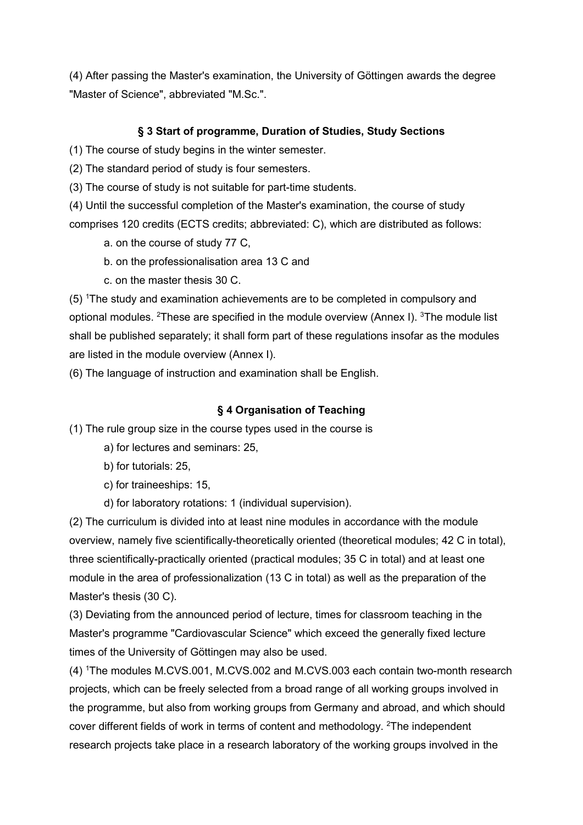(4) After passing the Master's examination, the University of Göttingen awards the degree "Master of Science", abbreviated "M.Sc.".

# § 3 Start of programme, Duration of Studies, Study Sections

(1) The course of study begins in the winter semester.

(2) The standard period of study is four semesters.

(3) The course of study is not suitable for part-time students.

(4) Until the successful completion of the Master's examination, the course of study comprises 120 credits (ECTS credits; abbreviated: C), which are distributed as follows:

- a. on the course of study 77 C,
- b. on the professionalisation area 13 C and
- c. on the master thesis 30 C.

(5) <sup>1</sup>The study and examination achievements are to be completed in compulsory and optional modules. <sup>2</sup>These are specified in the module overview (Annex I). <sup>3</sup>The module list shall be published separately; it shall form part of these regulations insofar as the modules are listed in the module overview (Annex I).

(6) The language of instruction and examination shall be English.

#### § 4 Organisation of Teaching

(1) The rule group size in the course types used in the course is

- a) for lectures and seminars: 25,
- b) for tutorials: 25,
- c) for traineeships: 15,
- d) for laboratory rotations: 1 (individual supervision).

(2) The curriculum is divided into at least nine modules in accordance with the module overview, namely five scientifically-theoretically oriented (theoretical modules; 42 C in total), three scientifically-practically oriented (practical modules; 35 C in total) and at least one module in the area of professionalization (13 C in total) as well as the preparation of the Master's thesis (30 C).

(3) Deviating from the announced period of lecture, times for classroom teaching in the Master's programme "Cardiovascular Science" which exceed the generally fixed lecture times of the University of Göttingen may also be used.

(4) <sup>1</sup>The modules M.CVS.001, M.CVS.002 and M.CVS.003 each contain two-month research projects, which can be freely selected from a broad range of all working groups involved in the programme, but also from working groups from Germany and abroad, and which should cover different fields of work in terms of content and methodology. <sup>2</sup>The independent research projects take place in a research laboratory of the working groups involved in the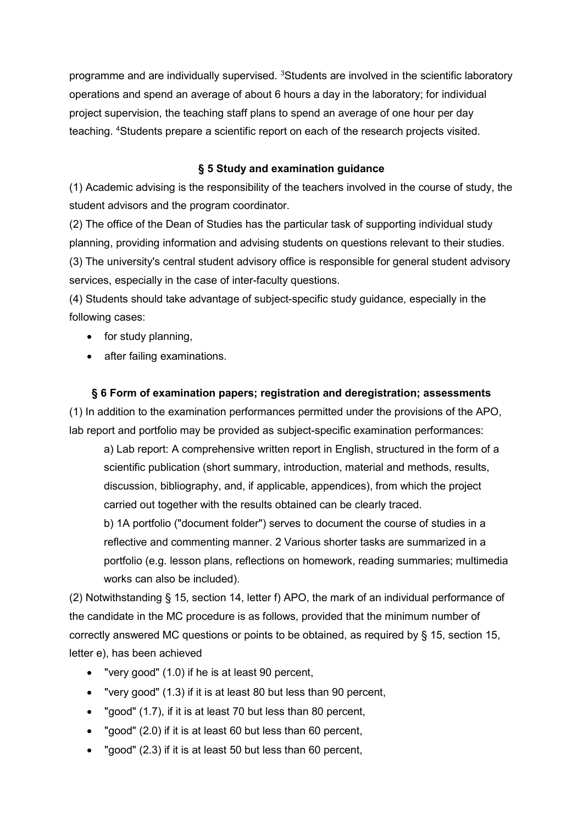programme and are individually supervised. <sup>3</sup>Students are involved in the scientific laboratory operations and spend an average of about 6 hours a day in the laboratory; for individual project supervision, the teaching staff plans to spend an average of one hour per day teaching. <sup>4</sup>Students prepare a scientific report on each of the research projects visited.

## § 5 Study and examination guidance

(1) Academic advising is the responsibility of the teachers involved in the course of study, the student advisors and the program coordinator.

(2) The office of the Dean of Studies has the particular task of supporting individual study planning, providing information and advising students on questions relevant to their studies. (3) The university's central student advisory office is responsible for general student advisory

services, especially in the case of inter-faculty questions.

(4) Students should take advantage of subject-specific study guidance, especially in the following cases:

- for study planning,
- after failing examinations.

# § 6 Form of examination papers; registration and deregistration; assessments

(1) In addition to the examination performances permitted under the provisions of the APO, lab report and portfolio may be provided as subject-specific examination performances:

a) Lab report: A comprehensive written report in English, structured in the form of a scientific publication (short summary, introduction, material and methods, results, discussion, bibliography, and, if applicable, appendices), from which the project carried out together with the results obtained can be clearly traced.

b) 1A portfolio ("document folder") serves to document the course of studies in a reflective and commenting manner. 2 Various shorter tasks are summarized in a portfolio (e.g. lesson plans, reflections on homework, reading summaries; multimedia works can also be included).

(2) Notwithstanding § 15, section 14, letter f) APO, the mark of an individual performance of the candidate in the MC procedure is as follows, provided that the minimum number of correctly answered MC questions or points to be obtained, as required by § 15, section 15, letter e), has been achieved

- "very good" (1.0) if he is at least 90 percent,
- "very good" (1.3) if it is at least 80 but less than 90 percent,
- "good" (1.7), if it is at least 70 but less than 80 percent,
- "good" (2.0) if it is at least 60 but less than 60 percent,
- "good" (2.3) if it is at least 50 but less than 60 percent,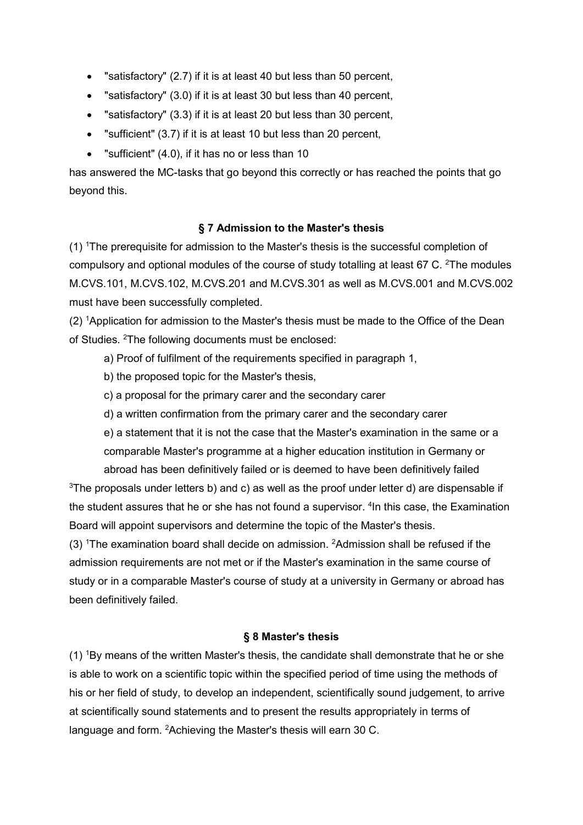- "satisfactory" (2.7) if it is at least 40 but less than 50 percent,
- "satisfactory" (3.0) if it is at least 30 but less than 40 percent,
- "satisfactory" (3.3) if it is at least 20 but less than 30 percent,
- "sufficient" (3.7) if it is at least 10 but less than 20 percent,
- "sufficient" (4.0), if it has no or less than 10

has answered the MC-tasks that go beyond this correctly or has reached the points that go beyond this.

#### § 7 Admission to the Master's thesis

(1) <sup>1</sup>The prerequisite for admission to the Master's thesis is the successful completion of compulsory and optional modules of the course of study totalling at least 67 C. <sup>2</sup>The modules M.CVS.101, M.CVS.102, M.CVS.201 and M.CVS.301 as well as M.CVS.001 and M.CVS.002 must have been successfully completed.

(2) <sup>1</sup>Application for admission to the Master's thesis must be made to the Office of the Dean of Studies. <sup>2</sup>The following documents must be enclosed:

a) Proof of fulfilment of the requirements specified in paragraph 1,

b) the proposed topic for the Master's thesis,

c) a proposal for the primary carer and the secondary carer

d) a written confirmation from the primary carer and the secondary carer

e) a statement that it is not the case that the Master's examination in the same or a comparable Master's programme at a higher education institution in Germany or abroad has been definitively failed or is deemed to have been definitively failed

 $3$ The proposals under letters b) and c) as well as the proof under letter d) are dispensable if the student assures that he or she has not found a supervisor. <sup>4</sup>In this case, the Examination Board will appoint supervisors and determine the topic of the Master's thesis.

 $(3)$  <sup>1</sup>The examination board shall decide on admission. <sup>2</sup>Admission shall be refused if the admission requirements are not met or if the Master's examination in the same course of study or in a comparable Master's course of study at a university in Germany or abroad has been definitively failed.

#### § 8 Master's thesis

(1) <sup>1</sup>By means of the written Master's thesis, the candidate shall demonstrate that he or she is able to work on a scientific topic within the specified period of time using the methods of his or her field of study, to develop an independent, scientifically sound judgement, to arrive at scientifically sound statements and to present the results appropriately in terms of language and form. <sup>2</sup>Achieving the Master's thesis will earn 30 C.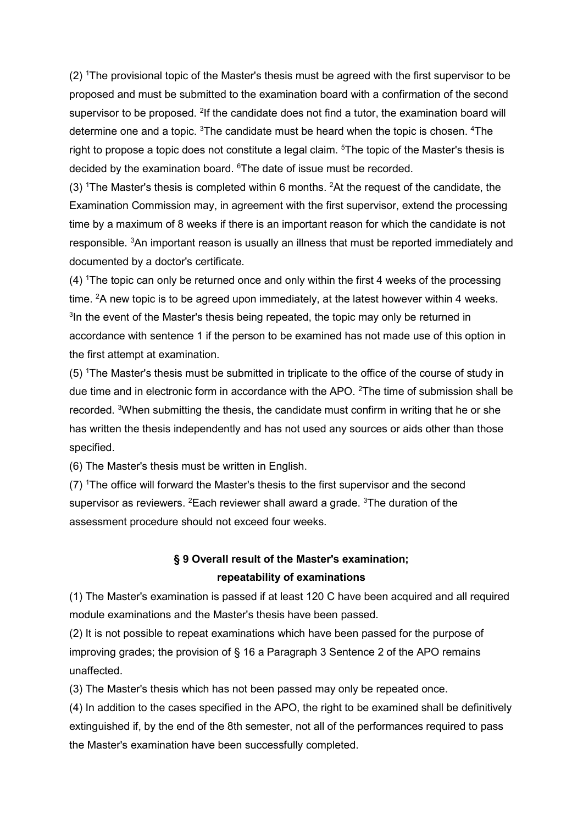(2) <sup>1</sup>The provisional topic of the Master's thesis must be agreed with the first supervisor to be proposed and must be submitted to the examination board with a confirmation of the second supervisor to be proposed. <sup>2</sup>If the candidate does not find a tutor, the examination board will determine one and a topic. <sup>3</sup>The candidate must be heard when the topic is chosen. <sup>4</sup>The right to propose a topic does not constitute a legal claim. <sup>5</sup>The topic of the Master's thesis is decided by the examination board. <sup>6</sup>The date of issue must be recorded.

(3) <sup>1</sup>The Master's thesis is completed within 6 months. <sup>2</sup>At the request of the candidate, the Examination Commission may, in agreement with the first supervisor, extend the processing time by a maximum of 8 weeks if there is an important reason for which the candidate is not responsible. <sup>3</sup>An important reason is usually an illness that must be reported immediately and documented by a doctor's certificate.

(4) <sup>1</sup>The topic can only be returned once and only within the first 4 weeks of the processing time.  ${}^{2}$ A new topic is to be agreed upon immediately, at the latest however within 4 weeks. <sup>3</sup>In the event of the Master's thesis being repeated, the topic may only be returned in accordance with sentence 1 if the person to be examined has not made use of this option in the first attempt at examination.

(5) <sup>1</sup>The Master's thesis must be submitted in triplicate to the office of the course of study in due time and in electronic form in accordance with the APO.  ${}^{2}$ The time of submission shall be recorded. <sup>3</sup>When submitting the thesis, the candidate must confirm in writing that he or she has written the thesis independently and has not used any sources or aids other than those specified.

(6) The Master's thesis must be written in English.

 $(7)$  <sup>1</sup>The office will forward the Master's thesis to the first supervisor and the second supervisor as reviewers.  ${}^{2}$ Each reviewer shall award a grade.  ${}^{3}$ The duration of the assessment procedure should not exceed four weeks.

# § 9 Overall result of the Master's examination; repeatability of examinations

(1) The Master's examination is passed if at least 120 C have been acquired and all required module examinations and the Master's thesis have been passed.

(2) It is not possible to repeat examinations which have been passed for the purpose of improving grades; the provision of § 16 a Paragraph 3 Sentence 2 of the APO remains unaffected.

(3) The Master's thesis which has not been passed may only be repeated once.

(4) In addition to the cases specified in the APO, the right to be examined shall be definitively extinguished if, by the end of the 8th semester, not all of the performances required to pass the Master's examination have been successfully completed.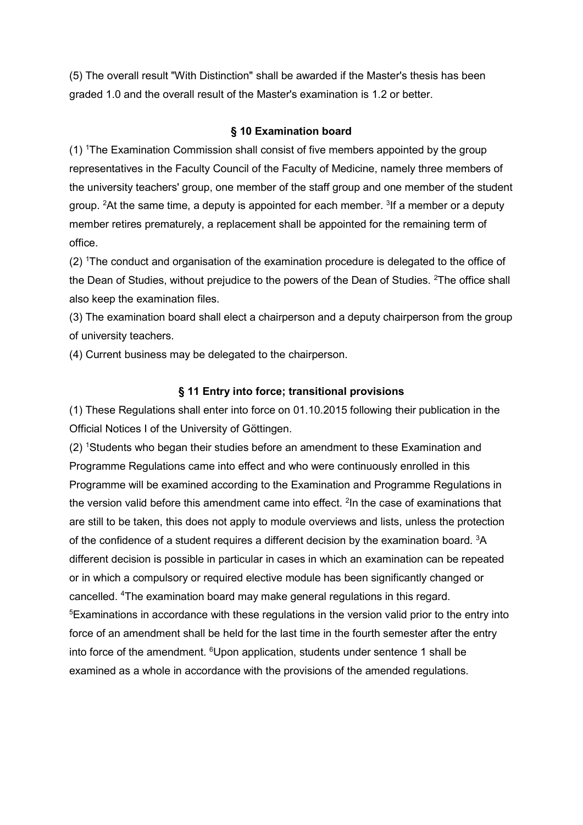(5) The overall result "With Distinction" shall be awarded if the Master's thesis has been graded 1.0 and the overall result of the Master's examination is 1.2 or better.

#### § 10 Examination board

(1) <sup>1</sup>The Examination Commission shall consist of five members appointed by the group representatives in the Faculty Council of the Faculty of Medicine, namely three members of the university teachers' group, one member of the staff group and one member of the student group. <sup>2</sup>At the same time, a deputy is appointed for each member. <sup>3</sup>If a member or a deputy member retires prematurely, a replacement shall be appointed for the remaining term of office.

(2) <sup>1</sup>The conduct and organisation of the examination procedure is delegated to the office of the Dean of Studies, without prejudice to the powers of the Dean of Studies. <sup>2</sup>The office shall also keep the examination files.

(3) The examination board shall elect a chairperson and a deputy chairperson from the group of university teachers.

(4) Current business may be delegated to the chairperson.

#### § 11 Entry into force; transitional provisions

(1) These Regulations shall enter into force on 01.10.2015 following their publication in the Official Notices I of the University of Göttingen.

(2) <sup>1</sup>Students who began their studies before an amendment to these Examination and Programme Regulations came into effect and who were continuously enrolled in this Programme will be examined according to the Examination and Programme Regulations in the version valid before this amendment came into effect. <sup>2</sup>In the case of examinations that are still to be taken, this does not apply to module overviews and lists, unless the protection of the confidence of a student requires a different decision by the examination board. <sup>3</sup>A different decision is possible in particular in cases in which an examination can be repeated or in which a compulsory or required elective module has been significantly changed or cancelled. <sup>4</sup>The examination board may make general regulations in this regard. <sup>5</sup>Examinations in accordance with these regulations in the version valid prior to the entry into force of an amendment shall be held for the last time in the fourth semester after the entry into force of the amendment. <sup>6</sup>Upon application, students under sentence 1 shall be examined as a whole in accordance with the provisions of the amended regulations.